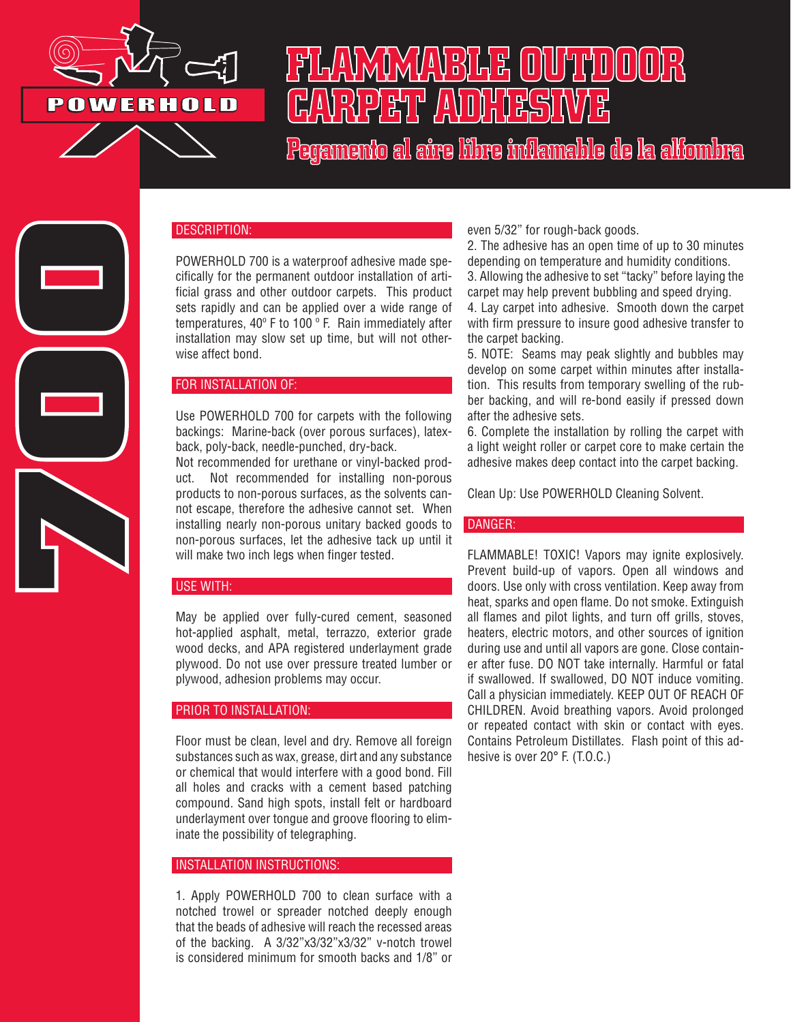

**700**

# FILAVAINVAVBILE OUTTUOODR GAVREET AVOITESTAVE

Pegamento al aire libre inflamable de la alfombra

### DESCRIPTION:

POWERHOLD 700 is a waterproof adhesive made specifically for the permanent outdoor installation of artificial grass and other outdoor carpets. This product sets rapidly and can be applied over a wide range of temperatures, 40º F to 100 º F. Rain immediately after installation may slow set up time, but will not otherwise affect bond.

### FOR INSTALLATION OF:

Use POWERHOLD 700 for carpets with the following backings: Marine-back (over porous surfaces), latexback, poly-back, needle-punched, dry-back.

Not recommended for urethane or vinyl-backed product. Not recommended for installing non-porous products to non-porous surfaces, as the solvents cannot escape, therefore the adhesive cannot set. When installing nearly non-porous unitary backed goods to non-porous surfaces, let the adhesive tack up until it will make two inch legs when finger tested.

### USE WITH:

May be applied over fully-cured cement, seasoned hot-applied asphalt, metal, terrazzo, exterior grade wood decks, and APA registered underlayment grade plywood. Do not use over pressure treated lumber or plywood, adhesion problems may occur.

### PRIOR TO INSTALLATION:

Floor must be clean, level and dry. Remove all foreign substances such as wax, grease, dirt and any substance or chemical that would interfere with a good bond. Fill all holes and cracks with a cement based patching compound. Sand high spots, install felt or hardboard underlayment over tongue and groove flooring to eliminate the possibility of telegraphing.

### INSTALLATION INSTRUCTIONS:

1. Apply POWERHOLD 700 to clean surface with a notched trowel or spreader notched deeply enough that the beads of adhesive will reach the recessed areas of the backing. A 3/32"x3/32"x3/32" v-notch trowel is considered minimum for smooth backs and 1/8" or even 5/32" for rough-back goods.

2. The adhesive has an open time of up to 30 minutes depending on temperature and humidity conditions.

3. Allowing the adhesive to set "tacky" before laying the carpet may help prevent bubbling and speed drying.

4. Lay carpet into adhesive. Smooth down the carpet with firm pressure to insure good adhesive transfer to the carpet backing.

5. NOTE: Seams may peak slightly and bubbles may develop on some carpet within minutes after installation. This results from temporary swelling of the rubber backing, and will re-bond easily if pressed down after the adhesive sets.

6. Complete the installation by rolling the carpet with a light weight roller or carpet core to make certain the adhesive makes deep contact into the carpet backing.

Clean Up: Use POWERHOLD Cleaning Solvent.

### DANGER:

FLAMMABLE! TOXIC! Vapors may ignite explosively. Prevent build-up of vapors. Open all windows and doors. Use only with cross ventilation. Keep away from heat, sparks and open flame. Do not smoke. Extinguish all flames and pilot lights, and turn off grills, stoves, heaters, electric motors, and other sources of ignition during use and until all vapors are gone. Close container after fuse. DO NOT take internally. Harmful or fatal if swallowed. If swallowed, DO NOT induce vomiting. Call a physician immediately. KEEP OUT OF REACH OF CHILDREN. Avoid breathing vapors. Avoid prolonged or repeated contact with skin or contact with eyes. Contains Petroleum Distillates. Flash point of this adhesive is over 20° F. (T.O.C.)